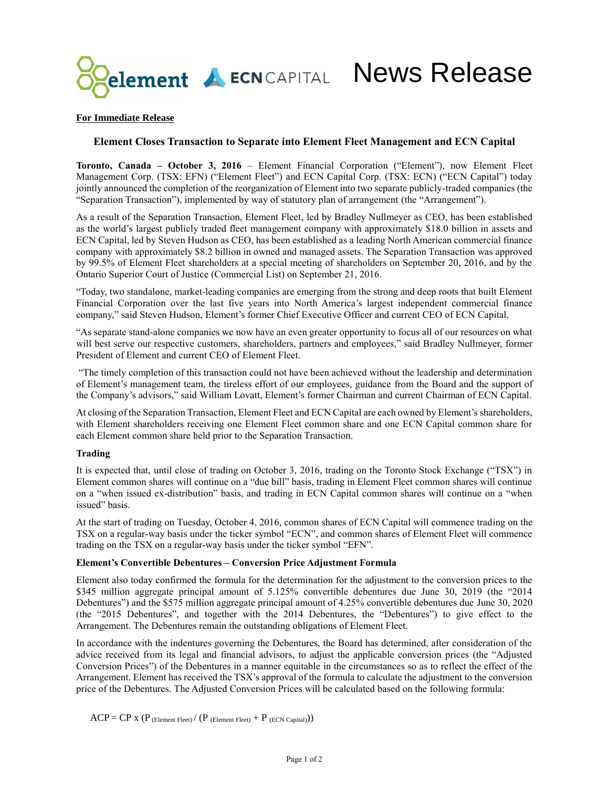

# **For Immediate Release**

# **Element Closes Transaction to Separate into Element Fleet Management and ECN Capital**

**Toronto, Canada – October 3, 2016** – Element Financial Corporation ("Element"), now Element Fleet Management Corp. (TSX: EFN) ("Element Fleet") and ECN Capital Corp. (TSX: ECN) ("ECN Capital") today jointly announced the completion of the reorganization of Element into two separate publicly-traded companies (the "Separation Transaction"), implemented by way of statutory plan of arrangement (the "Arrangement").

As a result of the Separation Transaction, Element Fleet, led by Bradley Nullmeyer as CEO, has been established as the world's largest publicly traded fleet management company with approximately \$18.0 billion in assets and ECN Capital, led by Steven Hudson as CEO, has been established as a leading North American commercial finance company with approximately \$8.2 billion in owned and managed assets. The Separation Transaction was approved by 99.5% of Element Fleet shareholders at a special meeting of shareholders on September 20, 2016, and by the Ontario Superior Court of Justice (Commercial List) on September 21, 2016.

"Today, two standalone, market-leading companies are emerging from the strong and deep roots that built Element Financial Corporation over the last five years into North America's largest independent commercial finance company," said Steven Hudson, Element's former Chief Executive Officer and current CEO of ECN Capital.

"As separate stand-alone companies we now have an even greater opportunity to focus all of our resources on what will best serve our respective customers, shareholders, partners and employees," said Bradley Nullmeyer, former President of Element and current CEO of Element Fleet.

"The timely completion of this transaction could not have been achieved without the leadership and determination of Element's management team, the tireless effort of our employees, guidance from the Board and the support of the Company's advisors," said William Lovatt, Element's former Chairman and current Chairman of ECN Capital.

At closing of the Separation Transaction, Element Fleet and ECN Capital are each owned by Element's shareholders, with Element shareholders receiving one Element Fleet common share and one ECN Capital common share for each Element common share held prior to the Separation Transaction.

#### **Trading**

It is expected that, until close of trading on October 3, 2016, trading on the Toronto Stock Exchange ("TSX") in Element common shares will continue on a "due bill" basis, trading in Element Fleet common shares will continue on a "when issued ex-distribution" basis, and trading in ECN Capital common shares will continue on a "when issued" basis.

At the start of trading on Tuesday, October 4, 2016, common shares of ECN Capital will commence trading on the TSX on a regular-way basis under the ticker symbol "ECN", and common shares of Element Fleet will commence trading on the TSX on a regular-way basis under the ticker symbol "EFN".

# **Element's Convertible Debentures – Conversion Price Adjustment Formula**

Element also today confirmed the formula for the determination for the adjustment to the conversion prices to the \$345 million aggregate principal amount of 5.125% convertible debentures due June 30, 2019 (the "2014 Debentures") and the \$575 million aggregate principal amount of 4.25% convertible debentures due June 30, 2020 (the "2015 Debentures", and together with the 2014 Debentures, the "Debentures") to give effect to the Arrangement. The Debentures remain the outstanding obligations of Element Fleet.

In accordance with the indentures governing the Debentures, the Board has determined, after consideration of the advice received from its legal and financial advisors, to adjust the applicable conversion prices (the "Adjusted Conversion Prices") of the Debentures in a manner equitable in the circumstances so as to reflect the effect of the Arrangement. Element has received the TSX's approval of the formula to calculate the adjustment to the conversion price of the Debentures. The Adjusted Conversion Prices will be calculated based on the following formula:

 $ACP = CP X (P$  (Element Fleet) /  $(P$  (Element Fleet) + P (ECN Capital)))